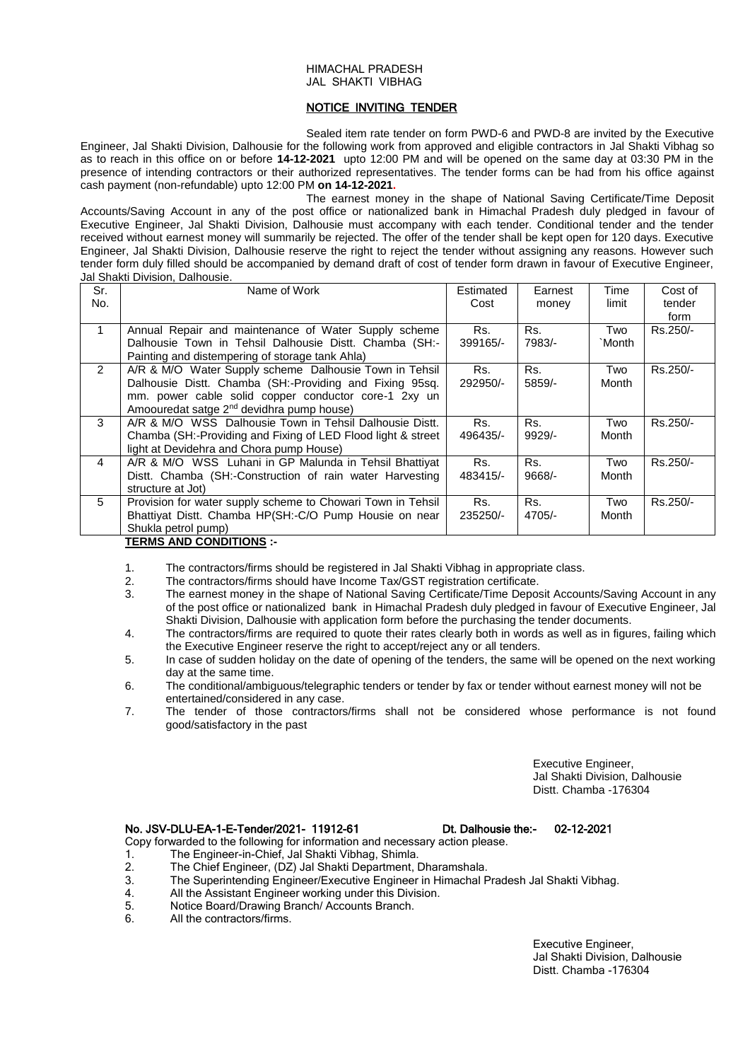## HIMACHAL PRADESH JAL SHAKTI VIBHAG

# NOTICE INVITING TENDER

Sealed item rate tender on form PWD-6 and PWD-8 are invited by the Executive Engineer, Jal Shakti Division, Dalhousie for the following work from approved and eligible contractors in Jal Shakti Vibhag so as to reach in this office on or before **14-12-2021** upto 12:00 PM and will be opened on the same day at 03:30 PM in the presence of intending contractors or their authorized representatives. The tender forms can be had from his office against cash payment (non-refundable) upto 12:00 PM **on 14-12-2021.**

The earnest money in the shape of National Saving Certificate/Time Deposit Accounts/Saving Account in any of the post office or nationalized bank in Himachal Pradesh duly pledged in favour of Executive Engineer, Jal Shakti Division, Dalhousie must accompany with each tender. Conditional tender and the tender received without earnest money will summarily be rejected. The offer of the tender shall be kept open for 120 days. Executive Engineer, Jal Shakti Division, Dalhousie reserve the right to reject the tender without assigning any reasons. However such tender form duly filled should be accompanied by demand draft of cost of tender form drawn in favour of Executive Engineer, Jal Shakti Division, Dalhousie.

| Sr.<br>No.     | Name of Work                                                 | Estimated<br>Cost | Earnest<br>money | Time<br>limit | Cost of<br>tender |
|----------------|--------------------------------------------------------------|-------------------|------------------|---------------|-------------------|
|                |                                                              |                   |                  |               | form              |
|                | Annual Repair and maintenance of Water Supply scheme         | Rs.               | Rs.              | Two           | Rs.250/-          |
|                | Dalhousie Town in Tehsil Dalhousie Distt. Chamba (SH:-       | 399165/-          | 7983/-           | `Month        |                   |
|                | Painting and distempering of storage tank Ahla)              |                   |                  |               |                   |
| $\overline{2}$ | A/R & M/O Water Supply scheme Dalhousie Town in Tehsil       | Rs.               | Rs.              | Two           | Rs.250/-          |
|                | Dalhousie Distt. Chamba (SH:-Providing and Fixing 95sg.      | 292950/-          | 5859/-           | Month         |                   |
|                | mm. power cable solid copper conductor core-1 2xy un         |                   |                  |               |                   |
|                | Amoouredat satge 2 <sup>nd</sup> devidhra pump house)        |                   |                  |               |                   |
| 3              | A/R & M/O WSS Dalhousie Town in Tehsil Dalhousie Distt.      | Rs.               | Rs.              | Two           | Rs.250/-          |
|                | Chamba (SH:-Providing and Fixing of LED Flood light & street | 496435/-          | 9929/-           | Month         |                   |
|                | light at Devidehra and Chora pump House)                     |                   |                  |               |                   |
| 4              | A/R & M/O WSS Luhani in GP Malunda in Tehsil Bhattiyat       | Rs.               | Rs.              | Two           | Rs.250/-          |
|                | Distt. Chamba (SH:-Construction of rain water Harvesting     | 483415/-          | $9668/$ -        | Month         |                   |
|                | structure at Jot)                                            |                   |                  |               |                   |
| 5              | Provision for water supply scheme to Chowari Town in Tehsil  | Rs.               | Rs.              | Two           | Rs.250/-          |
|                | Bhattiyat Distt. Chamba HP(SH:-C/O Pump Housie on near       | 235250/-          | 4705/-           | Month         |                   |
|                | Shukla petrol pump)<br>----- - -----------                   |                   |                  |               |                   |

## **TERMS AND CONDITIONS :-**

- 1. The contractors/firms should be registered in Jal Shakti Vibhag in appropriate class.
- 2. The contractors/firms should have Income Tax/GST registration certificate.
- 3. The earnest money in the shape of National Saving Certificate/Time Deposit Accounts/Saving Account in any of the post office or nationalized bank in Himachal Pradesh duly pledged in favour of Executive Engineer, Jal Shakti Division, Dalhousie with application form before the purchasing the tender documents.
- 4. The contractors/firms are required to quote their rates clearly both in words as well as in figures, failing which the Executive Engineer reserve the right to accept/reject any or all tenders.
- 5. In case of sudden holiday on the date of opening of the tenders, the same will be opened on the next working day at the same time.
- 6. The conditional/ambiguous/telegraphic tenders or tender by fax or tender without earnest money will not be entertained/considered in any case.
- 7. The tender of those contractors/firms shall not be considered whose performance is not found good/satisfactory in the past

Executive Engineer, Jal Shakti Division, Dalhousie Distt. Chamba -176304

## No. JSV-DLU-EA-1-E-Tender/2021- 11912-61 Dt. Dalhousie the:- 02-12-2021

Copy forwarded to the following for information and necessary action please.

- 1. The Engineer-in-Chief, Jal Shakti Vibhag, Shimla.
- 2. The Chief Engineer, (DZ) Jal Shakti Department, Dharamshala.
- 3. The Superintending Engineer/Executive Engineer in Himachal Pradesh Jal Shakti Vibhag.<br>4. All the Assistant Engineer working under this Division
- 4. All the Assistant Engineer working under this Division.<br>5 Notice Board/Drawing Branch/ Accounts Branch
- Notice Board/Drawing Branch/ Accounts Branch.
- 6. All the contractors/firms.

Executive Engineer, Jal Shakti Division, Dalhousie Distt. Chamba -176304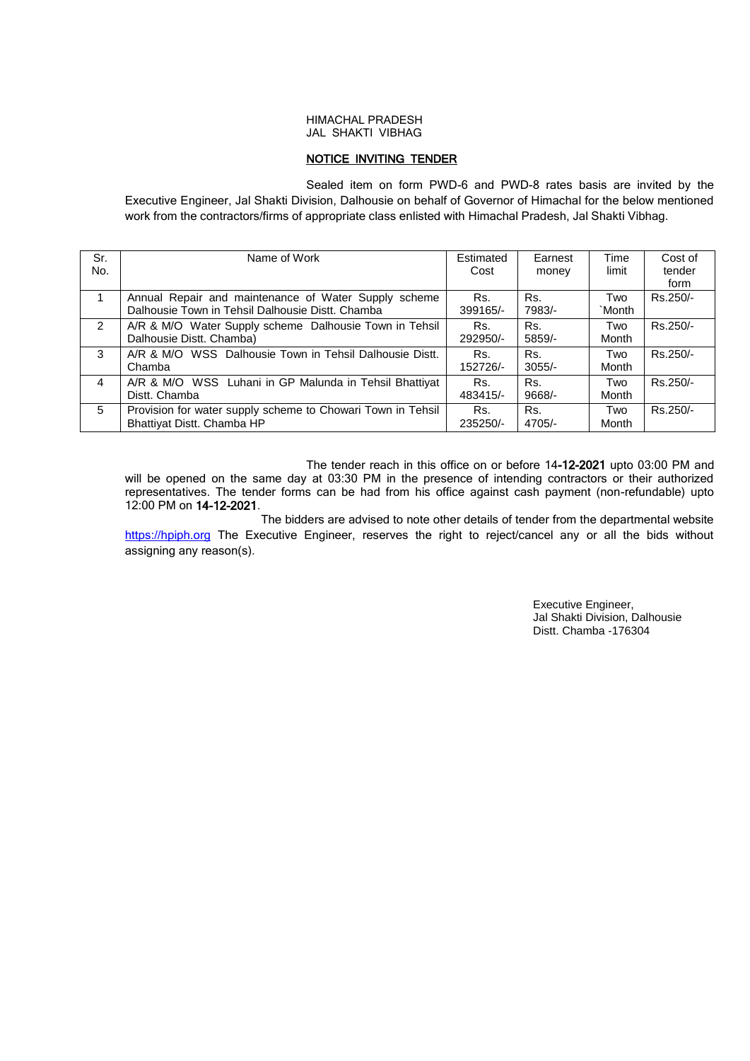## HIMACHAL PRADESH JAL SHAKTI VIBHAG

# NOTICE INVITING TENDER

Sealed item on form PWD-6 and PWD-8 rates basis are invited by the Executive Engineer, Jal Shakti Division, Dalhousie on behalf of Governor of Himachal for the below mentioned work from the contractors/firms of appropriate class enlisted with Himachal Pradesh, Jal Shakti Vibhag.

| Sr.            | Name of Work                                                | Estimated | Earnest  | Time   | Cost of  |
|----------------|-------------------------------------------------------------|-----------|----------|--------|----------|
| No.            |                                                             | Cost      | money    | limit  | tender   |
|                |                                                             |           |          |        | form     |
|                | Annual Repair and maintenance of Water Supply scheme        | Rs.       | Rs.      | Two    | Rs.250/- |
|                | Dalhousie Town in Tehsil Dalhousie Distt. Chamba            | 399165/-  | 7983/-   | `Month |          |
| $\overline{2}$ | A/R & M/O Water Supply scheme Dalhousie Town in Tehsil      | Rs.       | Rs.      | Two    | Rs.250/- |
|                | Dalhousie Distt. Chamba)                                    | 292950/-  | 5859/-   | Month  |          |
| 3              | A/R & M/O WSS Dalhousie Town in Tehsil Dalhousie Distt.     | Rs.       | Rs.      | Two    | Rs.250/- |
|                | Chamba                                                      | 152726/-  | $3055/-$ | Month  |          |
| 4              | A/R & M/O WSS Luhani in GP Malunda in Tehsil Bhattiyat      | Rs.       | Rs.      | Two    | Rs.250/- |
|                | Distt. Chamba                                               | 483415/-  | 9668/-   | Month  |          |
| 5              | Provision for water supply scheme to Chowari Town in Tehsil | Rs.       | Rs.      | Two    | Rs.250/- |
|                | Bhattiyat Distt. Chamba HP                                  | 235250/-  | 4705/-   | Month  |          |

The tender reach in this office on or before 14-12-2021 upto 03:00 PM and will be opened on the same day at 03:30 PM in the presence of intending contractors or their authorized representatives. The tender forms can be had from his office against cash payment (non-refundable) upto 12:00 PM on 14-12-2021.

 The bidders are advised to note other details of tender from the departmental website [https://hpiph.org](https://hptenders.gov.in/) The Executive Engineer, reserves the right to reject/cancel any or all the bids without assigning any reason(s).

> Executive Engineer, Jal Shakti Division, Dalhousie Distt. Chamba -176304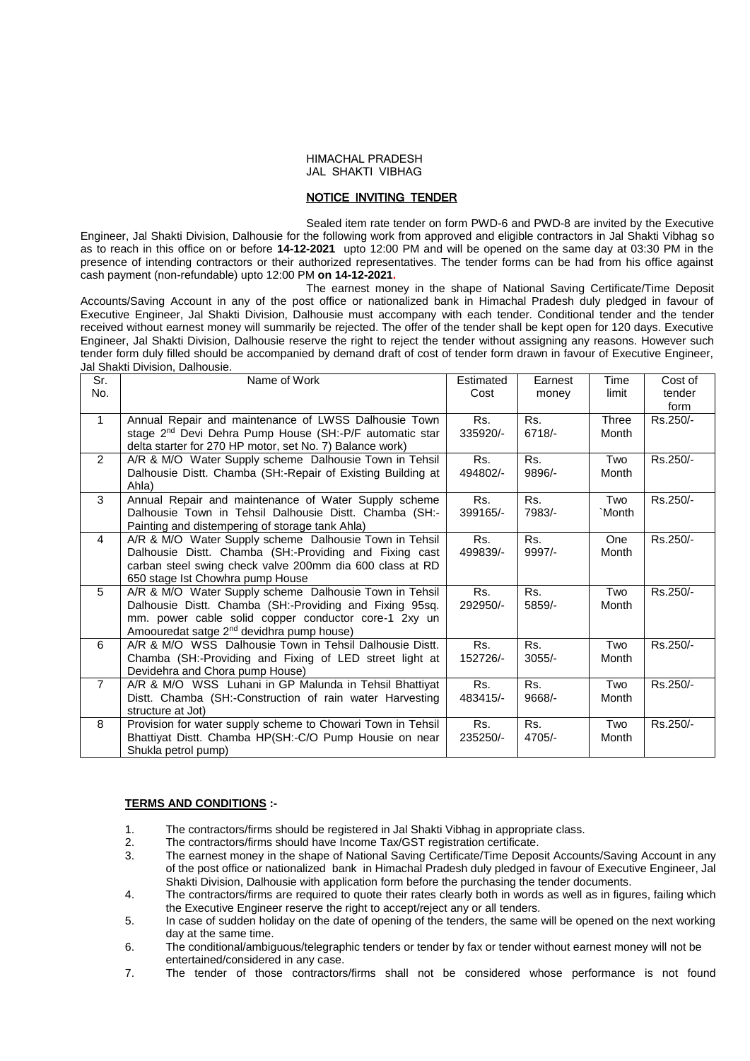#### HIMACHAL PRADESH JAL SHAKTI VIBHAG

# NOTICE INVITING TENDER

Sealed item rate tender on form PWD-6 and PWD-8 are invited by the Executive Engineer, Jal Shakti Division, Dalhousie for the following work from approved and eligible contractors in Jal Shakti Vibhag so as to reach in this office on or before **14-12-2021** upto 12:00 PM and will be opened on the same day at 03:30 PM in the presence of intending contractors or their authorized representatives. The tender forms can be had from his office against cash payment (non-refundable) upto 12:00 PM **on 14-12-2021.**

The earnest money in the shape of National Saving Certificate/Time Deposit Accounts/Saving Account in any of the post office or nationalized bank in Himachal Pradesh duly pledged in favour of Executive Engineer, Jal Shakti Division, Dalhousie must accompany with each tender. Conditional tender and the tender received without earnest money will summarily be rejected. The offer of the tender shall be kept open for 120 days. Executive Engineer, Jal Shakti Division, Dalhousie reserve the right to reject the tender without assigning any reasons. However such tender form duly filled should be accompanied by demand draft of cost of tender form drawn in favour of Executive Engineer, Jal Shakti Division, Dalhousie.

| Sr.            | Name of Work                                                                                                       | Estimated | Earnest  | Time         | Cost of  |
|----------------|--------------------------------------------------------------------------------------------------------------------|-----------|----------|--------------|----------|
| No.            |                                                                                                                    | Cost      | money    | limit        | tender   |
|                |                                                                                                                    |           |          |              | form     |
| $\mathbf{1}$   | Annual Repair and maintenance of LWSS Dalhousie Town                                                               | Rs.       | Rs.      | <b>Three</b> | Rs.250/- |
|                | stage 2 <sup>nd</sup> Devi Dehra Pump House (SH:-P/F automatic star                                                | 335920/-  | $6718/-$ | Month        |          |
|                | delta starter for 270 HP motor, set No. 7) Balance work)                                                           |           |          |              |          |
| 2              | A/R & M/O Water Supply scheme Dalhousie Town in Tehsil                                                             | Rs.       | Rs.      | Two          | Rs.250/- |
|                | Dalhousie Distt. Chamba (SH:-Repair of Existing Building at                                                        | 494802/-  | 9896/-   | Month        |          |
|                | Ahla)                                                                                                              |           |          |              |          |
| 3              | Annual Repair and maintenance of Water Supply scheme                                                               | Rs.       | Rs.      | Two          | Rs.250/- |
|                | Dalhousie Town in Tehsil Dalhousie Distt. Chamba (SH:-                                                             | 399165/-  | 7983/-   | `Month       |          |
| 4              | Painting and distempering of storage tank Ahla)                                                                    | Rs.       | Rs.      | One          |          |
|                | A/R & M/O Water Supply scheme Dalhousie Town in Tehsil                                                             | 499839/-  | $9997/-$ | Month        | Rs.250/- |
|                | Dalhousie Distt. Chamba (SH:-Providing and Fixing cast<br>carban steel swing check valve 200mm dia 600 class at RD |           |          |              |          |
|                | 650 stage Ist Chowhra pump House                                                                                   |           |          |              |          |
| 5              | A/R & M/O Water Supply scheme Dalhousie Town in Tehsil                                                             | Rs.       | Rs.      | Two          | Rs.250/- |
|                | Dalhousie Distt. Chamba (SH:-Providing and Fixing 95sq.                                                            | 292950/-  | 5859/-   | Month        |          |
|                | mm. power cable solid copper conductor core-1 2xy un                                                               |           |          |              |          |
|                | Amoouredat satge 2 <sup>nd</sup> devidhra pump house)                                                              |           |          |              |          |
| 6              | A/R & M/O WSS Dalhousie Town in Tehsil Dalhousie Distt.                                                            | Rs.       | Rs.      | Two          | Rs.250/- |
|                | Chamba (SH:-Providing and Fixing of LED street light at                                                            | 152726/-  | $3055/-$ | Month        |          |
|                | Devidehra and Chora pump House)                                                                                    |           |          |              |          |
| $\overline{7}$ | A/R & M/O WSS Luhani in GP Malunda in Tehsil Bhattiyat                                                             | Rs.       | Rs.      | Two          | Rs.250/- |
|                | Distt. Chamba (SH:-Construction of rain water Harvesting                                                           | 483415/-  | 9668/-   | Month        |          |
|                | structure at Jot)                                                                                                  |           |          |              |          |
| 8              | Provision for water supply scheme to Chowari Town in Tehsil                                                        | Rs.       | Rs.      | Two          | Rs.250/- |
|                | Bhattiyat Distt. Chamba HP(SH:-C/O Pump Housie on near                                                             | 235250/-  | 4705/-   | Month        |          |
|                | Shukla petrol pump)                                                                                                |           |          |              |          |

### **TERMS AND CONDITIONS :-**

- 1. The contractors/firms should be registered in Jal Shakti Vibhag in appropriate class.
- 2. The contractors/firms should have Income Tax/GST registration certificate.
- 3. The earnest money in the shape of National Saving Certificate/Time Deposit Accounts/Saving Account in any of the post office or nationalized bank in Himachal Pradesh duly pledged in favour of Executive Engineer, Jal Shakti Division, Dalhousie with application form before the purchasing the tender documents.
- 4. The contractors/firms are required to quote their rates clearly both in words as well as in figures, failing which the Executive Engineer reserve the right to accept/reject any or all tenders.
- 5. In case of sudden holiday on the date of opening of the tenders, the same will be opened on the next working day at the same time.
- 6. The conditional/ambiguous/telegraphic tenders or tender by fax or tender without earnest money will not be entertained/considered in any case.
- 7. The tender of those contractors/firms shall not be considered whose performance is not found